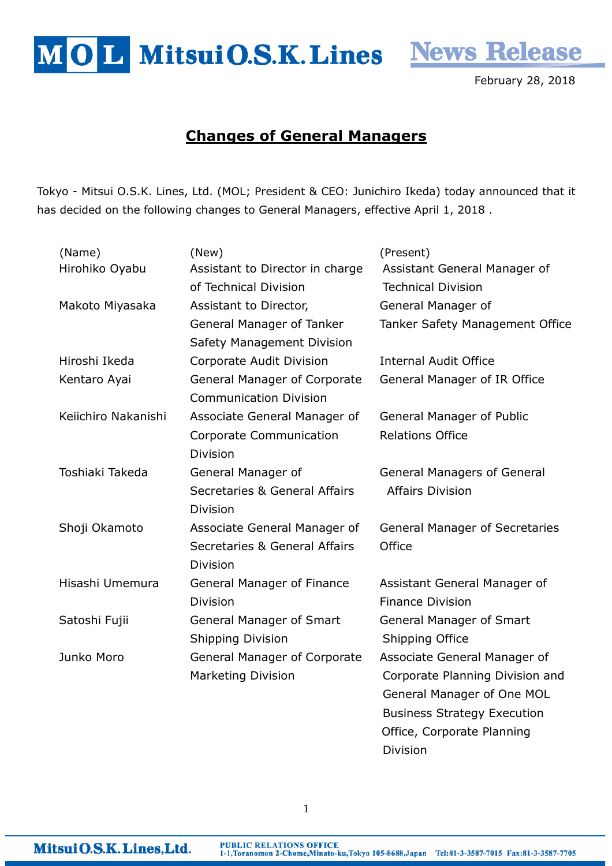MOL MitsuiO.S.K. Lines News Release

February 28, 2018

## Changes of General Managers

Tokyo - Mitsui O.S.K. Lines, Ltd. (MOL; President & CEO: Junichiro Ikeda) today announced that it has decided on the following changes to General Managers, effective April 1, 2018 .

| (Name)              | (New)                                    | (Present)                             |
|---------------------|------------------------------------------|---------------------------------------|
| Hirohiko Oyabu      | Assistant to Director in charge          | Assistant General Manager of          |
|                     | of Technical Division                    | <b>Technical Division</b>             |
| Makoto Miyasaka     | Assistant to Director,                   | General Manager of                    |
|                     | General Manager of Tanker                | Tanker Safety Management Office       |
|                     | Safety Management Division               |                                       |
| Hiroshi Ikeda       | Corporate Audit Division                 | <b>Internal Audit Office</b>          |
| Kentaro Ayai        | <b>General Manager of Corporate</b>      | General Manager of IR Office          |
|                     | <b>Communication Division</b>            |                                       |
| Keiichiro Nakanishi | Associate General Manager of             | <b>General Manager of Public</b>      |
|                     | Corporate Communication                  | <b>Relations Office</b>               |
|                     | <b>Division</b>                          |                                       |
| Toshiaki Takeda     | General Manager of                       | <b>General Managers of General</b>    |
|                     | <b>Secretaries &amp; General Affairs</b> | <b>Affairs Division</b>               |
|                     | <b>Division</b>                          |                                       |
| Shoji Okamoto       | Associate General Manager of             | <b>General Manager of Secretaries</b> |
|                     | Secretaries & General Affairs            | Office                                |
|                     | <b>Division</b>                          |                                       |
| Hisashi Umemura     | General Manager of Finance               | Assistant General Manager of          |
|                     | <b>Division</b>                          | <b>Finance Division</b>               |
| Satoshi Fujii       | <b>General Manager of Smart</b>          | <b>General Manager of Smart</b>       |
|                     | <b>Shipping Division</b>                 | Shipping Office                       |
| Junko Moro          | <b>General Manager of Corporate</b>      | Associate General Manager of          |
|                     | <b>Marketing Division</b>                | Corporate Planning Division and       |
|                     |                                          | General Manager of One MOL            |
|                     |                                          | <b>Business Strategy Execution</b>    |
|                     |                                          | Office, Corporate Planning            |

Division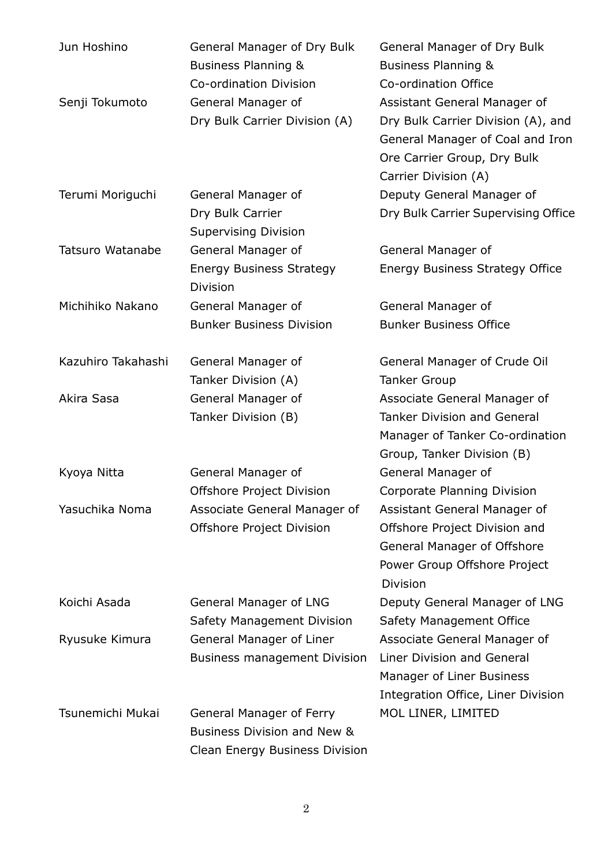| Jun Hoshino             | General Manager of Dry Bulk<br>Business Planning & | General Manager of Dry Bulk<br><b>Business Planning &amp;</b> |
|-------------------------|----------------------------------------------------|---------------------------------------------------------------|
|                         | Co-ordination Division                             | Co-ordination Office                                          |
| Senji Tokumoto          | General Manager of                                 | Assistant General Manager of                                  |
|                         | Dry Bulk Carrier Division (A)                      | Dry Bulk Carrier Division (A), and                            |
|                         |                                                    | General Manager of Coal and Iron                              |
|                         |                                                    | Ore Carrier Group, Dry Bulk                                   |
|                         |                                                    | Carrier Division (A)                                          |
| Terumi Moriguchi        | General Manager of                                 | Deputy General Manager of                                     |
|                         | Dry Bulk Carrier                                   | Dry Bulk Carrier Supervising Office                           |
|                         | <b>Supervising Division</b>                        |                                                               |
| <b>Tatsuro Watanabe</b> | General Manager of                                 | General Manager of                                            |
|                         | <b>Energy Business Strategy</b><br><b>Division</b> | <b>Energy Business Strategy Office</b>                        |
| Michihiko Nakano        | General Manager of                                 | General Manager of                                            |
|                         | <b>Bunker Business Division</b>                    | <b>Bunker Business Office</b>                                 |
| Kazuhiro Takahashi      | General Manager of                                 | General Manager of Crude Oil                                  |
|                         | Tanker Division (A)                                | <b>Tanker Group</b>                                           |
| Akira Sasa              | General Manager of                                 | Associate General Manager of                                  |
|                         | Tanker Division (B)                                | <b>Tanker Division and General</b>                            |
|                         |                                                    | Manager of Tanker Co-ordination                               |
|                         |                                                    | Group, Tanker Division (B)                                    |
| Kyoya Nitta             | General Manager of                                 | General Manager of                                            |
|                         | Offshore Project Division                          | Corporate Planning Division                                   |
| Yasuchika Noma          | Associate General Manager of                       | Assistant General Manager of                                  |
|                         | Offshore Project Division                          | Offshore Project Division and                                 |
|                         |                                                    | General Manager of Offshore                                   |
|                         |                                                    | Power Group Offshore Project<br><b>Division</b>               |
| Koichi Asada            | General Manager of LNG                             | Deputy General Manager of LNG                                 |
|                         | Safety Management Division                         | Safety Management Office                                      |
| Ryusuke Kimura          | General Manager of Liner                           | Associate General Manager of                                  |
|                         | <b>Business management Division</b>                | Liner Division and General                                    |
|                         |                                                    | Manager of Liner Business                                     |
|                         |                                                    | Integration Office, Liner Division                            |
| Tsunemichi Mukai        | General Manager of Ferry                           | MOL LINER, LIMITED                                            |
|                         | Business Division and New &                        |                                                               |
|                         | Clean Energy Business Division                     |                                                               |